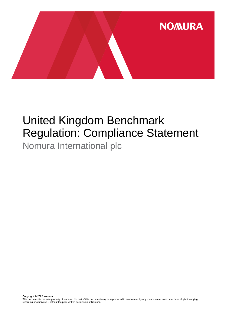

## United Kingdom Benchmark Regulation: Compliance Statement Nomura International plc

**Copyright © 2022 Nomura** This document is the sole property of Nomura. No part of this document may be reproduced in any form or by any means – electronic, mechanical, photocopying, recording or otherwise – without the prior written permission of Nomura.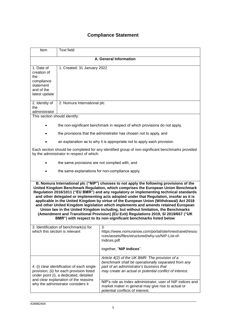## **Compliance Statement**

| Item                                                                                                                                                                                                                                                                                                                                                                                                                                                                                                                                                                                                                                                                                                                                                                                                 | <b>Text field</b>                               |                                                                                                                                                                                                                                                                                                                                                                      |  |  |
|------------------------------------------------------------------------------------------------------------------------------------------------------------------------------------------------------------------------------------------------------------------------------------------------------------------------------------------------------------------------------------------------------------------------------------------------------------------------------------------------------------------------------------------------------------------------------------------------------------------------------------------------------------------------------------------------------------------------------------------------------------------------------------------------------|-------------------------------------------------|----------------------------------------------------------------------------------------------------------------------------------------------------------------------------------------------------------------------------------------------------------------------------------------------------------------------------------------------------------------------|--|--|
| A. General Information                                                                                                                                                                                                                                                                                                                                                                                                                                                                                                                                                                                                                                                                                                                                                                               |                                                 |                                                                                                                                                                                                                                                                                                                                                                      |  |  |
| 1. Date of<br>creation of<br>the<br>compliance<br>statement<br>and of the<br>latest update                                                                                                                                                                                                                                                                                                                                                                                                                                                                                                                                                                                                                                                                                                           | 1. Created: 31 January 2022                     |                                                                                                                                                                                                                                                                                                                                                                      |  |  |
| 2. Identity of<br>the<br>administrator                                                                                                                                                                                                                                                                                                                                                                                                                                                                                                                                                                                                                                                                                                                                                               | 2. Nomura International plc                     |                                                                                                                                                                                                                                                                                                                                                                      |  |  |
| This section should identify:                                                                                                                                                                                                                                                                                                                                                                                                                                                                                                                                                                                                                                                                                                                                                                        |                                                 |                                                                                                                                                                                                                                                                                                                                                                      |  |  |
|                                                                                                                                                                                                                                                                                                                                                                                                                                                                                                                                                                                                                                                                                                                                                                                                      |                                                 | the non-significant benchmark in respect of which provisions do not apply,                                                                                                                                                                                                                                                                                           |  |  |
|                                                                                                                                                                                                                                                                                                                                                                                                                                                                                                                                                                                                                                                                                                                                                                                                      |                                                 | the provisions that the administrator has chosen not to apply, and                                                                                                                                                                                                                                                                                                   |  |  |
|                                                                                                                                                                                                                                                                                                                                                                                                                                                                                                                                                                                                                                                                                                                                                                                                      |                                                 | an explanation as to why it is appropriate not to apply each provision.                                                                                                                                                                                                                                                                                              |  |  |
| Each section should be completed for any identified group of non-significant benchmarks provided<br>by the administrator in respect of which:                                                                                                                                                                                                                                                                                                                                                                                                                                                                                                                                                                                                                                                        |                                                 |                                                                                                                                                                                                                                                                                                                                                                      |  |  |
|                                                                                                                                                                                                                                                                                                                                                                                                                                                                                                                                                                                                                                                                                                                                                                                                      | the same provisions are not complied with, and  |                                                                                                                                                                                                                                                                                                                                                                      |  |  |
|                                                                                                                                                                                                                                                                                                                                                                                                                                                                                                                                                                                                                                                                                                                                                                                                      | the same explanations for non-compliance apply. |                                                                                                                                                                                                                                                                                                                                                                      |  |  |
| B. Nomura International plc ("NIP") chooses to not apply the following provisions of the<br>United Kingdom Benchmark Regulation, which comprises the European Union Benchmark<br>Regulation 2016/1011 ("EU BMR") and any regulatory or implementing technical standards<br>and other delegated or implementing acts adopted under that Regulation, insofar as it is<br>applicable in the United Kingdom by virtue of the European Union (Withdrawal) Act 2018<br>and other United Kingdom legislation which implements and amends retained European<br>Union law in the United Kingdom including, but without limitation, the Benchmarks<br>(Amendment and Transitional Provision) (EU Exit) Regulations 2019, SI 2019/657 ("UK<br>BMR") with respect to its non-significant benchmarks listed below |                                                 |                                                                                                                                                                                                                                                                                                                                                                      |  |  |
| 3. Identification of benchmark(s) for<br>which this section is relevant                                                                                                                                                                                                                                                                                                                                                                                                                                                                                                                                                                                                                                                                                                                              |                                                 | 3.<br>https://www.nomuranow.com/portal/site/nnextranet/resou<br>rces/assets/files/structured/why-us/NIP-List-of-<br>Indices.pdf<br>together, "NIP Indices".                                                                                                                                                                                                          |  |  |
| 4. (i) clear identification of each single<br>provision; (ii) for each provision listed<br>under point (i), a dedicated, detailed<br>and clear explanation of the reasons<br>why the administrator considers it                                                                                                                                                                                                                                                                                                                                                                                                                                                                                                                                                                                      |                                                 | Article 4(2) of the UK BMR: The provision of a<br>benchmark shall be operationally separated from any<br>part of an administrator's business that<br>may create an actual or potential conflict of interest.<br>NIP's role as Index administrator, user of NIP indices and<br>market maker in general may give rise to actual or<br>potential conflicts of interest. |  |  |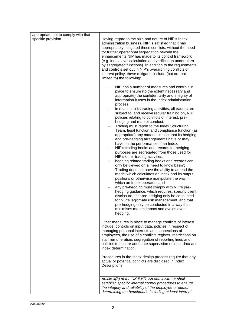| appropriate not to comply with that<br>specific provision | Having regard to the size and nature of NIP's Index<br>administration business, NIP is satisfied that it has<br>appropriately mitigated these conflicts, without the need<br>for further operational segregation beyond the<br>enhancements NIP has made to its control framework<br>(e.g. Index level calculation and verification undertaken<br>by segregated functions). In addition to the requirements<br>and controls set out in NIP's overarching conflicts of<br>interest policy, these mitigants include (but are not<br>limited to) the following:<br>NIP has a number of measures and controls in<br>place to ensure (to the extent necessary and<br>appropriate) the confidentiality and integrity of<br>information it uses in the Index administration                                                                                                                                                                                                                                                                                                                                                                                                                     |
|-----------------------------------------------------------|------------------------------------------------------------------------------------------------------------------------------------------------------------------------------------------------------------------------------------------------------------------------------------------------------------------------------------------------------------------------------------------------------------------------------------------------------------------------------------------------------------------------------------------------------------------------------------------------------------------------------------------------------------------------------------------------------------------------------------------------------------------------------------------------------------------------------------------------------------------------------------------------------------------------------------------------------------------------------------------------------------------------------------------------------------------------------------------------------------------------------------------------------------------------------------------|
|                                                           | process;<br>in relation to its trading activities, all traders are<br>subject to, and receive regular training on, NIP<br>policies relating to conflicts of interest, pre-<br>hedging and market conduct;<br>Trading must report to the Index Structuring<br>Team, legal function and compliance function (as<br>appropriate) any material impact that its hedging<br>and pre-hedging arrangements have or may<br>have on the performance of an Index;<br>NIP's trading books and records for hedging<br>purposes are segregated from those used for<br>NIP's other trading activities;<br>hedging related trading books and records can<br>only be viewed on a 'need to know basis';<br>Trading does not have the ability to amend the<br>model which calculates an index and its output<br>positions or otherwise manipulate the way in<br>which an Index operates; and<br>any pre-hedging must comply with NIP's pre-<br>hedging guidance, which requires: specific client<br>disclosure, that pre-hedging only be conducted<br>for NIP's legitimate risk management, and that<br>pre-hedging only be conducted in a way that<br>minimises market impact and avoids over-<br>hedging. |
|                                                           | Other measures in place to manage conflicts of interest<br>include: controls on input data, policies in respect of<br>managing personal interests and connections of<br>employees, the use of a conflicts register, restrictions on<br>staff remuneration, segregation of reporting lines and<br>policies to ensure adequate supervision of input data and<br>index determination.<br>Procedures in the Index design process require that any                                                                                                                                                                                                                                                                                                                                                                                                                                                                                                                                                                                                                                                                                                                                            |
|                                                           | actual or potential conflicts are disclosed in Index<br>Descriptions.                                                                                                                                                                                                                                                                                                                                                                                                                                                                                                                                                                                                                                                                                                                                                                                                                                                                                                                                                                                                                                                                                                                    |
|                                                           | Article 4(8) of the UK BMR: An administrator shall<br>establish specific internal control procedures to ensure<br>the integrity and reliability of the employee or person<br>determining the benchmark, including at least internal                                                                                                                                                                                                                                                                                                                                                                                                                                                                                                                                                                                                                                                                                                                                                                                                                                                                                                                                                      |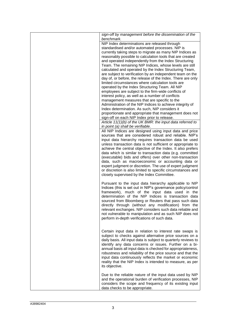| sign-off by management before the dissemination of the<br>benchmark.                                                       |
|----------------------------------------------------------------------------------------------------------------------------|
| NIP Index determinations are released through<br>standardised and/or automated processes. NIP is                           |
| currently taking steps to migrate as many NIP Indices as<br>reasonably possible to calculation tools that are created      |
| and operated independently from the Index Structuring                                                                      |
| Team. The remaining NIP Indices, whose levels are still                                                                    |
| calculated and operated by the Index Structuring Team,<br>are subject to verification by an independent team on the        |
| day of, or before, the release of the Index. There are only                                                                |
| limited circumstances where calculation tools are                                                                          |
| operated by the Index Structuring Team. All NIP<br>employees are subject to the firm-wide conflicts of                     |
| interest policy, as well as a number of conflicts                                                                          |
| management measures that are specific to the                                                                               |
| Administration of the NIP Indices to achieve integrity of<br>Index determination. As such, NIP considers it                |
| proportionate and appropriate that management does not                                                                     |
| sign-off on each NIP Index prior to release.<br>Article 11(1)(b) of the UK BMR: the input data referred to                 |
| in point (a) shall be verifiable.                                                                                          |
| All NIP Indices are designed using input data and price                                                                    |
| sources that are considered robust and reliable. NIP's<br>input data hierarchy requires transaction data be used           |
| unless transaction data is not sufficient or appropriate to                                                                |
| achieve the central objective of the Index. It also prefers                                                                |
| data which is similar to transaction data (e.g. committed<br>(executable) bids and offers) over other non-transaction      |
| data, such as macroeconomic or accounting data or                                                                          |
| expert judgment or discretion. The use of expert judgment<br>or discretion is also limited to specific circumstances and   |
| closely supervised by the Index Committee.                                                                                 |
|                                                                                                                            |
| Pursuant to the input data hierarchy applicable to NIP<br>Indices (this is set out in NIP's governance policy/control      |
| framework), much of the input data used in the                                                                             |
| determination of the NIP Indices is transaction data                                                                       |
| sourced from Bloomberg or Reuters that pass such data<br>directly through (without any modification) from the              |
| relevant exchanges. NIP considers such data reliable and                                                                   |
| not vulnerable to manipulation and as such NIP does not<br>perform in-depth verifications of such data.                    |
|                                                                                                                            |
|                                                                                                                            |
| Certain input data in relation to interest rate swaps is<br>subject to checks against alternative price sources on a       |
| daily basis. All input data is subject to quarterly reviews to                                                             |
| identify any data concerns or issues. Further on a bi-                                                                     |
| annual basis all input data is checked for appropriateness,<br>robustness and reliability of the price source and that the |
| input data continuously reflects the market or economic                                                                    |
| reality that the NIP Index is intended to measure, as per<br>its objective.                                                |
|                                                                                                                            |
| Due to the reliable nature of the input data used by NIP                                                                   |
| and the operational burden of verification processes, NIP<br>considers the scope and frequency of its existing input       |
| data checks to be appropriate.                                                                                             |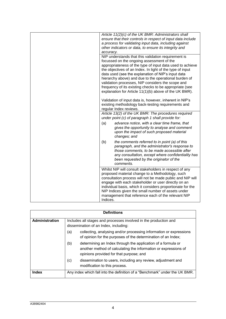| Article 11(2)(c) of the UK BMR: Administrators shall<br>ensure that their controls in respect of input data include<br>a process for validating input data, including against<br>other indicators or data, to ensure its integrity and<br>accuracy.                                                                                                                                                                                                                                                                 |
|---------------------------------------------------------------------------------------------------------------------------------------------------------------------------------------------------------------------------------------------------------------------------------------------------------------------------------------------------------------------------------------------------------------------------------------------------------------------------------------------------------------------|
| NIP understands that this validation requirement is<br>focussed on the ongoing assessment of the<br>appropriateness of the type of input data used to achieve<br>the objectives of an Index. In light of the type of input<br>data used (see the explanation of NIP's input data<br>hierarchy above) and due to the operational burden of<br>validation processes, NIP considers the scope and<br>frequency of its existing checks to be appropriate (see<br>explanation for Article 11(1)(b) above of the UK BMR). |
| Validation of input data is, however, inherent in NIP's<br>existing methodology back-testing requirements and<br>regular Index reviews.                                                                                                                                                                                                                                                                                                                                                                             |
| Article 13(2) of the UK BMR: The procedures required<br>under point (c) of paragraph 1 shall provide for:                                                                                                                                                                                                                                                                                                                                                                                                           |
| advance notice, with a clear time frame, that<br>(a)<br>gives the opportunity to analyse and comment<br>upon the impact of such proposed material<br>changes; and                                                                                                                                                                                                                                                                                                                                                   |
| (b)<br>the comments referred to in point (a) of this<br>paragraph, and the administrator's response to<br>those comments, to be made accessible after<br>any consultation, except where confidentiality has<br>been requested by the originator of the<br>comments.                                                                                                                                                                                                                                                 |
| Whilst NIP will consult stakeholders in respect of any<br>proposed material change to a Methodology, such<br>consultation process will not be made public and NIP will<br>engage with each stakeholder or user directly on an<br>individual basis, which it considers proportionate for the<br>NIP Indices given the small number of assets under<br>management that reference each of the relevant NIP<br>Indices.                                                                                                 |

| <b>Definitions</b>    |                                                                                                           |                                                                                                                                                                            |
|-----------------------|-----------------------------------------------------------------------------------------------------------|----------------------------------------------------------------------------------------------------------------------------------------------------------------------------|
| <b>Administration</b> | Includes all stages and processes involved in the production and<br>dissemination of an Index, including: |                                                                                                                                                                            |
|                       | (a)                                                                                                       | collecting, analysing and/or processing information or expressions<br>of opinion for the purposes of the determination of an Index;                                        |
|                       | (b)                                                                                                       | determining an Index through the application of a formula or<br>another method of calculating the information or expressions of<br>opinions provided for that purpose; and |
|                       | (c)                                                                                                       | dissemination to users, including any review, adjustment and<br>modification to this process.                                                                              |
| Index                 |                                                                                                           | Any index which fall into the definition of a "Benchmark" under the UK BMR.                                                                                                |